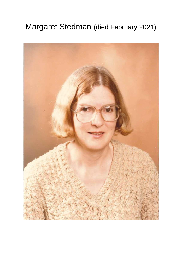## Margaret Stedman (died February 2021)

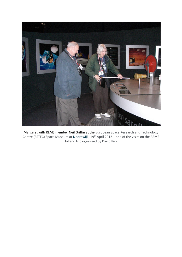

Margaret with REMS member Neil Griffin at the European Space Research and Technology Centre (ESTEC) Space Museum at Noordwijk, 19<sup>th</sup> April 2012 – one of the visits on the REMS Holland trip organised by David Pick.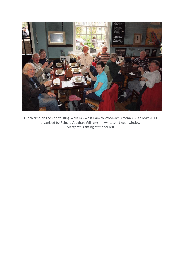

Lunch time on the Capital Ring Walk 14 (West Ham to Woolwich Arsenal), 25th May 2013, organised by Reinalt Vaughan-Williams (in white shirt near window) Margaret is sitting at the far left.